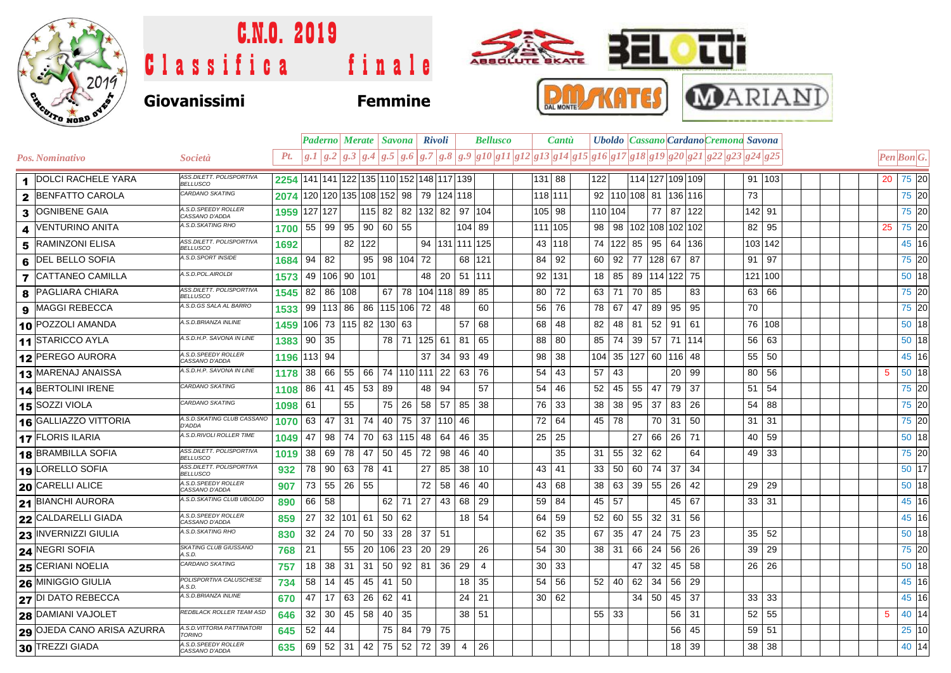

## C.N.O. 2019  $\bullet$  cut **BEL** ABBOLUTE BKATE Classifica finale **MARIANI TKATES** DAL MONTE **Giovanissimi Femmine**

|                  |                            |                                              |                                          |         |           |                       |            | Paderno   Merate   Savona   Rivoli       |    |                 |                                       | <b>Bellusco</b> |    | <b>Cantu</b> |     |              |                            |                     |       | Uboldo   Cassano   Cardano Cremona Savona                                                                                                                                                                                                                                                                                                                                                                                                  |              |  |  |    |                           |
|------------------|----------------------------|----------------------------------------------|------------------------------------------|---------|-----------|-----------------------|------------|------------------------------------------|----|-----------------|---------------------------------------|-----------------|----|--------------|-----|--------------|----------------------------|---------------------|-------|--------------------------------------------------------------------------------------------------------------------------------------------------------------------------------------------------------------------------------------------------------------------------------------------------------------------------------------------------------------------------------------------------------------------------------------------|--------------|--|--|----|---------------------------|
|                  | Pos. Nominativo            | <i>Società</i>                               | Pt.                                      |         |           |                       |            |                                          |    |                 |                                       |                 |    |              |     |              |                            |                     |       | $\left[g. I \right] g. 2 \left[g. 3 \right] g. 4 \left[g. 5 \right] g. 6 \left[g. 7 \right] g. 8 \left[g. 9 \right] g10 \left[g I I \right] g12 \left[g 13 \right] g14 \left[g 15 \right] g16 \left[g 17 \right] g18 \left[g 19 \right] g20 \left[g 22 \right] g22 \left[g 23 \right] g24 \left[g 25 \right] g16 \left[g 26 \right] g17 \left[g 27 \right] g18 \left[g 27 \right] g19 \left[g 28 \right] g19 \left[g 29 \right] g19 \left$ |              |  |  |    | $\boldsymbol{Pen Bon G.}$ |
|                  | <b>DOLCI RACHELE YARA</b>  | ASS.DILETT. POLISPORTIVA<br><b>BELLUSCO</b>  | 2254 141 141 122 135 110 152 148 117 139 |         |           |                       |            |                                          |    |                 |                                       |                 |    | $131$ 88     | 122 |              |                            |                     |       | 114 127 109 109                                                                                                                                                                                                                                                                                                                                                                                                                            | 91 103       |  |  | 20 | 75 20                     |
| $\mathbf{2}$     | <b>BENFATTO CAROLA</b>     | CARDANO SKATING                              | 2074 120 120 135 108 152 98 79 124 118   |         |           |                       |            |                                          |    |                 |                                       |                 |    | 118 111      |     |              |                            |                     |       | 92 110 108 81 136 116                                                                                                                                                                                                                                                                                                                                                                                                                      | 73           |  |  |    | 75 20                     |
| 3                | <b>OGNIBENE GAIA</b>       | A.S.D.SPEEDY ROLLER<br>CASSANO D'ADDA        | 1959                                     | 127 127 |           |                       |            |                                          |    |                 | $ 115 $ 82   82   132   82   97   104 |                 |    | 105 98       |     |              | 110 104                    | 77                  |       | 87 122                                                                                                                                                                                                                                                                                                                                                                                                                                     | 142 91       |  |  |    | 75 20                     |
| $\boldsymbol{4}$ | <b>VENTURINO ANITA</b>     | A.S.D.SKATING RHO                            | 1700                                     |         | 55   99   |                       |            | 95 90 60 55                              |    |                 | 104 89                                |                 |    | 111 105      | 98  |              | 98   102   108   102   102 |                     |       |                                                                                                                                                                                                                                                                                                                                                                                                                                            | 95<br>82     |  |  | 25 | 75 20                     |
| 5                | <b>RAMINZONI ELISA</b>     | ASS.DILETT. POLISPORTIVA<br><b>BELLUSCO</b>  | 1692                                     |         |           | 82 122                |            |                                          |    |                 | 94   131   111   125                  |                 |    | 43 118       |     |              | 74 122 85                  | 95                  | 64    | 136                                                                                                                                                                                                                                                                                                                                                                                                                                        | 103 142      |  |  |    | 45 16                     |
| 6                | <b>DEL BELLO SOFIA</b>     | A.S.D.SPORT INSIDE                           | 1684                                     | $94$ 82 |           |                       |            | 95   98   104   72                       |    |                 | 68 121                                |                 | 84 | 92           | 60  |              | $92$ 77 128 67             |                     |       | 87                                                                                                                                                                                                                                                                                                                                                                                                                                         | 91   97      |  |  |    | 75 20                     |
| $\overline{7}$   | <b>CATTANEO CAMILLA</b>    | A.S.D.POL.AIROLDI                            | 1573                                     |         | 49 106    | 90 101                |            |                                          | 48 |                 | $20$ 51 111                           |                 |    | 92 131       | 18  |              | 85                         | 89   114   122   75 |       |                                                                                                                                                                                                                                                                                                                                                                                                                                            | 121 100      |  |  |    | $50$ 18                   |
| 8                | PAGLIARA CHIARA            | ASS.DILETT. POLISPORTIVA<br><b>BELLUSCO</b>  | 1545                                     |         | 82 86 108 |                       |            | $67$   78                                |    |                 | 104 118 89                            | 85              | 80 | 72           | 63  |              | 71                         | 70<br>85            |       | 83                                                                                                                                                                                                                                                                                                                                                                                                                                         | 63 66        |  |  |    | 75 20                     |
| 9                | <b>MAGGI REBECCA</b>       | A.S.D.GS SALA AL BARRO                       | 1533                                     |         |           |                       |            | 99   113   86   86   115   106   72   48 |    |                 |                                       | 60              | 56 | 76           | 78  |              | 67<br>47                   | 89                  | 95    | 95                                                                                                                                                                                                                                                                                                                                                                                                                                         | 70           |  |  |    | 75 20                     |
| 10               | <b>POZZOLI AMANDA</b>      | A.S.D.BRIANZA INLINE                         | 1459 106 73 115 82 130 63                |         |           |                       |            |                                          |    |                 | 57                                    | 68              | 68 | 48           | 82  |              | 48<br>81                   | 52                  | 91    | -61                                                                                                                                                                                                                                                                                                                                                                                                                                        | 76 108       |  |  |    | 50 18                     |
|                  | 11 STARICCO AYLA           | A.S.D.H.P. SAVONA IN LINE                    | 1383                                     | 90      | 35        |                       |            | 78 71                                    |    | 125 61          | 81                                    | 65              | 88 | 80           | 85  |              | 74<br>39                   |                     |       | 57 71 114                                                                                                                                                                                                                                                                                                                                                                                                                                  | 63<br>56     |  |  |    | 50 18                     |
|                  | 12 PEREGO AURORA           | A.S.D.SPEEDY ROLLER<br>CASSANO D'ADDA        | 1196 113 94                              |         |           |                       |            |                                          | 37 | 34              | 93                                    | 49              | 98 | 38           | 104 |              | 35   127   60   116   48   |                     |       |                                                                                                                                                                                                                                                                                                                                                                                                                                            | 55 50        |  |  |    | 45 16                     |
|                  | 13 MARENAJ ANAISSA         | A.S.D.H.P. SAVONA IN LINE                    | 1178                                     | 38 66   |           | 55                    |            |                                          |    |                 | 66   74  110  111   22   63           | 76              | 54 | 43           | 57  |              | 43                         |                     | 20    | 99                                                                                                                                                                                                                                                                                                                                                                                                                                         | 56<br>80     |  |  | 5  | $50$ 18                   |
|                  | 14 BERTOLINI IRENE         | CARDANO SKATING                              | 1108                                     | 86      | l 41      | 45 53                 |            | 89                                       | 48 | 94              |                                       | 57              | 54 | 46           | 52  |              | 45<br>55                   | 47                  | 79    | 37                                                                                                                                                                                                                                                                                                                                                                                                                                         | 54<br>51     |  |  |    | 75 20                     |
|                  | 15 SOZZI VIOLA             | <b>CARDANO SKATING</b>                       | 1098                                     | 61      |           | 55                    |            | 75 26                                    | 58 | 57              | 85                                    | 38              | 76 | 33           | 38  |              | 38<br>95                   | 37                  | 83    | 26                                                                                                                                                                                                                                                                                                                                                                                                                                         | 88<br>54     |  |  |    | 75 20                     |
|                  | 16 GALLIAZZO VITTORIA      | A.S.D.SKATING CLUB CASSANO<br>D'ADDA         | 1070                                     | 63      | 47        | $31 \mid 74$          |            | 40<br>75                                 | 37 |                 | $ 110 $ 46                            |                 | 72 | 64           | 45  |              | 78                         | 70                  | 31    | 50                                                                                                                                                                                                                                                                                                                                                                                                                                         | 31<br>31     |  |  |    | 75 20                     |
|                  | 17 FLORIS ILARIA           | A.S.D.RIVOLI ROLLER TIME                     | 1049                                     | 47      | 98        | 74 70                 |            | 63   115   48                            |    | 64              | 46                                    | 35              | 25 | 25           |     |              | 27                         |                     | 66 26 | 71                                                                                                                                                                                                                                                                                                                                                                                                                                         | 59<br>40     |  |  |    | 50 18                     |
|                  | 18 BRAMBILLA SOFIA         | ASS.DILETT. POLISPORTIVA<br><b>BELLUSCO</b>  | 1019                                     | 38      | 69        | 78                    | 47         | 50<br>45                                 | 72 | 98              | 46                                    | 40              |    | 35           | 31  |              | 55<br>32                   | 62                  |       | 64                                                                                                                                                                                                                                                                                                                                                                                                                                         | 49 33        |  |  |    | 75 20                     |
|                  | 19 LORELLO SOFIA           | ASS.DILETT. POLISPORTIVA<br><b>BELLUSCO</b>  | 932                                      | 78      | 90        |                       | $63$ 78 41 |                                          | 27 | 85              | 38                                    | 10              | 43 | 41           | 33  |              | 50<br>60                   | 74                  | 37    | 34                                                                                                                                                                                                                                                                                                                                                                                                                                         |              |  |  |    | 50 17                     |
| 20               | <b>CARELLI ALICE</b>       | A.S.D.SPEEDY ROLLER<br>CASSANO D'ADDA        | 907                                      | 73      | 55        | $26 \mid 55$          |            |                                          | 72 | 58              | 46                                    | 40              | 43 | 68           | 38  |              | 63<br>39                   | 55                  | 26    | 42                                                                                                                                                                                                                                                                                                                                                                                                                                         | 29<br>29     |  |  |    | 50 18                     |
|                  | <b>21 BIANCHI AURORA</b>   | A.S.D. SKATING CLUB UBOLDO                   | 890                                      | 66 58   |           |                       |            | $62$ 71                                  | 27 | 43              | 68                                    | 29              | 59 | 84           | 45  |              | 57                         |                     | 45    | 67                                                                                                                                                                                                                                                                                                                                                                                                                                         | $33 \mid 31$ |  |  |    | 45 16                     |
|                  | 22 CALDARELLI GIADA        | A.S.D. SPEEDY ROLLER<br>CASSANO D'ADDA       | 859                                      | 27      |           | $32 \mid 101 \mid 61$ |            | $50 \mid 62$                             |    |                 | $18$ 54                               |                 | 64 | 59           | 52  |              | 55<br>60                   | 32                  | 31    | 56                                                                                                                                                                                                                                                                                                                                                                                                                                         |              |  |  |    | 45 16                     |
|                  | 23 INVERNIZZI GIULIA       | A.S.D.SKATING RHO                            | 830                                      | 32      | 24        | 70 50                 |            | 33<br>28                                 | 37 | 51              |                                       |                 | 62 | 35           | 67  |              | 35<br>47                   | 24                  | 75    | 23                                                                                                                                                                                                                                                                                                                                                                                                                                         | 52<br>35     |  |  |    | $50$ 18                   |
|                  | 24 NEGRI SOFIA             | SKATING CLUB GIUSSANO<br>A.S.D.              | 768                                      | 21      |           | 55                    | 20         | 106 23                                   | 20 | -29             |                                       | 26              | 54 | 30           | 38  |              | 31<br>66                   | 24                  | 56    | 26                                                                                                                                                                                                                                                                                                                                                                                                                                         | 39<br>29     |  |  |    | 75 20                     |
|                  | 25 CERIANI NOELIA          | <b>CARDANO SKATING</b>                       | 757                                      | 18      | 38        | $31 \mid 31$          |            | 92<br>50                                 | 81 | 36 <sup>1</sup> | 29                                    | 4               | 30 | 33           |     |              |                            | 32<br>47            | 45    | 58                                                                                                                                                                                                                                                                                                                                                                                                                                         | $26$ 26      |  |  |    | 50 18                     |
|                  | <b>26 MINIGGIO GIULIA</b>  | POLISPORTIVA CALUSCHESE<br>A S D             | 734                                      | 58      | 14        | 45                    | 45         | 41<br>50                                 |    |                 | 18                                    | 35              | 54 | 56           | 52  |              | 40<br>62                   | 34                  | 56    | 29                                                                                                                                                                                                                                                                                                                                                                                                                                         |              |  |  |    | 45 16                     |
|                  | 27 DI DATO REBECCA         | A.S.D.BRIANZA INLINE                         | 670                                      | 47      | 17        | 63 26                 |            | 62<br>41                                 |    |                 | 24                                    | 21              | 30 | 62           |     |              |                            | $34 \mid 50$        | 45    | -37                                                                                                                                                                                                                                                                                                                                                                                                                                        | 33<br>33     |  |  |    | 45 16                     |
|                  | <b>28 DAMIANI VAJOLET</b>  | REDBLACK ROLLER TEAM ASD                     | 646                                      | 32      |           | 30   45   58          |            | 35<br>40                                 |    |                 | 38 51                                 |                 |    |              |     | $55 \mid 33$ |                            |                     | 56    | 31                                                                                                                                                                                                                                                                                                                                                                                                                                         | 52<br>55     |  |  | 5  | 40 14                     |
|                  | 29 OJEDA CANO ARISA AZURRA | A.S.D. VITTORIA PATTINATORI<br><b>TORINO</b> | 645                                      | 52      | 44        |                       |            | 75  <br>84                               |    | 79 75           |                                       |                 |    |              |     |              |                            |                     | 56    | 45                                                                                                                                                                                                                                                                                                                                                                                                                                         | $59$ 51      |  |  |    | 25 10                     |
|                  | 30 TREZZI GIADA            | A.S.D. SPEEDY ROLLER<br>CASSANO D'ADDA       | 635                                      | 69      |           |                       |            | 52 31 42 75 52                           | 72 | 39 <sup>°</sup> | $\overline{4}$                        | 26              |    |              |     |              |                            |                     | 18    | 39                                                                                                                                                                                                                                                                                                                                                                                                                                         | $38$ 38      |  |  |    | 40 14                     |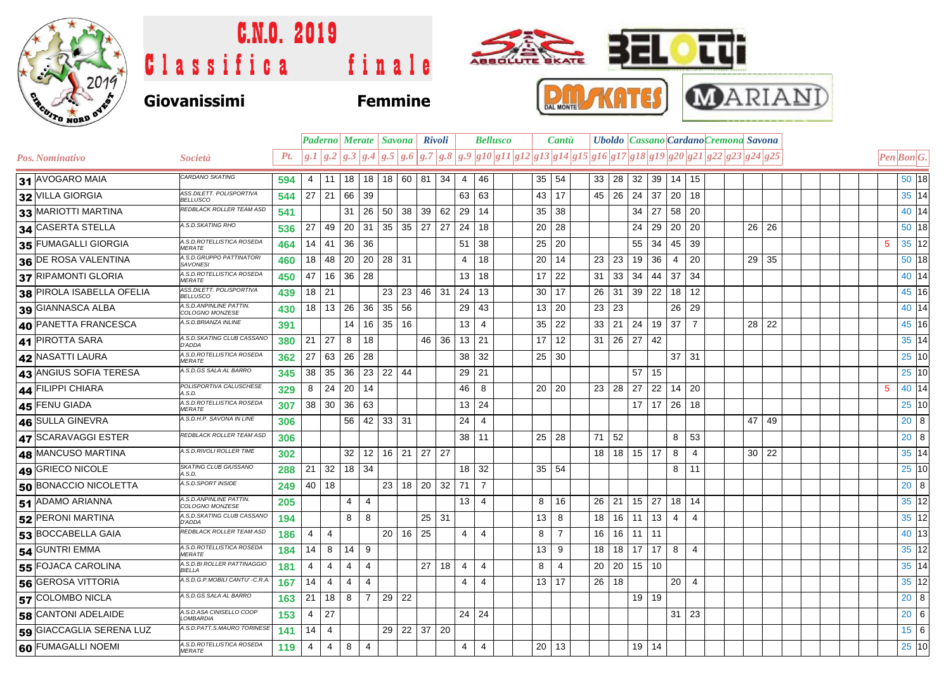

## C.N.O. 2019 tu ABBOLUTE BKATE SEL Classifica finale **MARIANI PAL Giovanissimi Femmine**

|                           |                                              |     |                 | <b>Paderno Merate Savona</b>                                           |                |                     |       |                      | <b>Rivoli</b>                    |    |                | <b>Bellusco</b>                                                                | Cantu        |                |    |    |                 |         | Uboldo Cassano Cardano Cremona Savona |                |    |       |  |                 |                                  |                   |
|---------------------------|----------------------------------------------|-----|-----------------|------------------------------------------------------------------------|----------------|---------------------|-------|----------------------|----------------------------------|----|----------------|--------------------------------------------------------------------------------|--------------|----------------|----|----|-----------------|---------|---------------------------------------|----------------|----|-------|--|-----------------|----------------------------------|-------------------|
| Pos. Nominativo           | Società                                      | Pt. |                 | $\left  g.1 \right  g.2 \left  g.3 \right  g.4 \left  g.5 \right  g.6$ |                |                     |       |                      |                                  |    |                | $ g.7 g.8 g.9 g10 g11 g12 g13 g14 g15 g16 g17 g18 g19 g20 g21 g22 g23 g24 g25$ |              |                |    |    |                 |         |                                       |                |    |       |  |                 | Pen Bon G.                       |                   |
| 31 AVOGARO MAIA           | CARDANO SKATING                              | 594 | $\overline{4}$  | 11                                                                     |                |                     |       |                      | $18$   $18$   $18$   $60$   $81$ | 34 | $\overline{4}$ | 46                                                                             | $35 \mid 54$ |                | 33 | 28 | 32              | 39      | 14 15                                 |                |    |       |  |                 |                                  | $50$ 18           |
| 32 VILLA GIORGIA          | ASS.DILETT. POLISPORTIVA<br><b>BELLUSCO</b>  | 544 | $27$ 21         |                                                                        | 66             | 39                  |       |                      |                                  |    | 63             | 63                                                                             | $43 \mid 17$ |                | 45 | 26 | 24              | 37      | 20                                    | 18             |    |       |  |                 | $35 \overline{\smash{\big)} 14}$ |                   |
| 33 MARIOTTI MARTINA       | REDBLACK ROLLER TEAM ASD                     | 541 |                 |                                                                        | 31             | 26 50               |       |                      | 38 39                            | 62 | 29             | 14                                                                             | 35           | 38             |    |    | 34              | 27      | 58 20                                 |                |    |       |  |                 |                                  | 40 14             |
| 34 CASERTA STELLA         | A.S.D.SKATING RHO                            | 536 | 27 <sup>1</sup> | 49                                                                     |                | $20 \vert 31 \vert$ |       | $35 \mid 35 \mid 27$ |                                  | 27 | 24             | 18                                                                             | 20           | 28             |    |    | 24              | 29      | 20 20                                 |                |    | 26 26 |  |                 | 50 18                            |                   |
| 35 FUMAGALLI GIORGIA      | A.S.D.ROTELLISTICA ROSEDA<br><b>MERATE</b>   | 464 | 14              | 41                                                                     | 36             | 36                  |       |                      |                                  |    | 51             | 38                                                                             | 25           | 20             |    |    | 55              | 34      | 45                                    | 39             |    |       |  | $\overline{5}$  |                                  | 35 12             |
| 36 DE ROSA VALENTINA      | A.S.D.GRUPPO PATTINATORI<br><b>SAVONESI</b>  | 460 | 18              | 48                                                                     |                | $20$   20   28   31 |       |                      |                                  |    | $\overline{4}$ | 18                                                                             | 20           | 14             | 23 | 23 | 19              | 36      | 4                                     | 20             |    | 29 35 |  |                 |                                  | 50 18             |
| 37 RIPAMONTI GLORIA       | A.S.D.ROTELLISTICA ROSEDA<br><b>MERATE</b>   | 450 | 47              | 16                                                                     | 36 28          |                     |       |                      |                                  |    | 13             | 18                                                                             | 17           | 22             | 31 | 33 | 34              | 44      | 37                                    | 34             |    |       |  |                 | $40\overline{14}$                |                   |
| 38 PIROLA ISABELLA OFELIA | ASS.DILETT. POLISPORTIVA<br><b>BELLUSCO</b>  | 439 | $18$ 21         |                                                                        |                |                     | 23    | 23                   | 46                               | 31 | 24             | 13                                                                             | 30           | 17             | 26 | 31 | 39              | 22      | 18                                    | 12             |    |       |  |                 | 45 16                            |                   |
| 39 GIANNASCA ALBA         | A.S.D.ANPINLINE PATTIN.<br>COLOGNO MONZESE   | 430 |                 | 18 13                                                                  | 26             | 36                  | 35    | 56                   |                                  |    | 29             | 43                                                                             | 13           | 20             | 23 | 23 |                 |         | 26                                    | 29             |    |       |  |                 |                                  | 40 14             |
| 40 PANETTA FRANCESCA      | 4.S.D.BRIANZA INLINE                         | 391 |                 |                                                                        | 14             | $16 \mid 35$        |       | 16                   |                                  |    | 13             | $\overline{4}$                                                                 | 35           | 22             | 33 | 21 | 24              | 19      | $37 \overline{\phantom{0}}7$          |                |    | 28 22 |  |                 |                                  | $45$ 16           |
| 41 PIROTTA SARA           | A.S.D.SKATING CLUB CASSANO<br>D'ADDA         | 380 | $21 \mid 27$    |                                                                        | 8              | 18                  |       |                      | 46                               | 36 | 13             | 21                                                                             | 17           | 12             | 31 | 26 | 27              | 42      |                                       |                |    |       |  |                 | $35 \overline{\smash{\big)} 14}$ |                   |
| 42 NASATTI LAURA          | A.S.D.ROTELLISTICA ROSEDA<br><b>MERATE</b>   | 362 | 27              | 63                                                                     | 26             | 28                  |       |                      |                                  |    | 38             | 32                                                                             | 25           | 30             |    |    |                 |         | $37$ 31                               |                |    |       |  |                 |                                  | $25\overline{10}$ |
| 43 ANGIUS SOFIA TERESA    | A.S.D.GS SALA AL BARRO                       | 345 | 38              | 35                                                                     | 36             | 23                  | 22 44 |                      |                                  |    | 29             | 21                                                                             |              |                |    |    | 57              | 15      |                                       |                |    |       |  |                 |                                  | $25\overline{10}$ |
| 44 FILIPPI CHIARA         | POLISPORTIVA CALUSCHESE<br>A.S.D.            | 329 | 8 <sup>1</sup>  | 24                                                                     | $20$ 14        |                     |       |                      |                                  |    | 46             | 8                                                                              | $20 \mid 20$ |                | 23 | 28 | 27              | 22      | $14$ 20                               |                |    |       |  | $5\phantom{.0}$ |                                  | 40 14             |
| 45 FENU GIADA             | A.S.D.ROTELLISTICA ROSEDA<br><b>MERATE</b>   | 307 |                 | $38 \mid 30$                                                           | 36             | 63                  |       |                      |                                  |    | 13             | 24                                                                             |              |                |    |    | 17 <sup>1</sup> | 17      | 26 18                                 |                |    |       |  |                 |                                  | 25 10             |
| 46 SULLA GINEVRA          | A.S.D.H.P. SAVONA IN LINE                    | 306 |                 |                                                                        | 56             | 42                  | 33 31 |                      |                                  |    | 24             | $\overline{4}$                                                                 |              |                |    |    |                 |         |                                       |                | 47 | 49    |  |                 | 20 <sup>8</sup>                  |                   |
| 47 SCARAVAGGI ESTER       | REDBLACK ROLLER TEAM ASD                     | 306 |                 |                                                                        |                |                     |       |                      |                                  |    |                | $38$ 11                                                                        | 25 28        |                | 71 | 52 |                 |         | 8                                     | 53             |    |       |  |                 | $20\overline{8}$                 |                   |
| 48 MANCUSO MARTINA        | A.S.D.RIVOLI ROLLER TIME                     | 302 |                 |                                                                        | 32             |                     |       |                      | $12$   16   21   27   27         |    |                |                                                                                |              |                | 18 | 18 | 15 <sup>1</sup> | 17      | 8                                     | $\overline{4}$ |    | 30 22 |  |                 | $35\overline{\smash{)}14}$       |                   |
| 49 GRIECO NICOLE          | SKATING CLUB GIUSSANO<br>A.S.D.              | 288 | 21              | 32                                                                     | 18 34          |                     |       |                      |                                  |    |                | 18 32                                                                          | 35 54        |                |    |    |                 |         | 8                                     | 11             |    |       |  |                 |                                  | 25 10             |
| 50 BONACCIO NICOLETTA     | A.S.D.SPORT INSIDE                           | 249 |                 | 40 18                                                                  |                |                     | 23    |                      | $18$ 20                          | 32 | 71             | $\overline{7}$                                                                 |              |                |    |    |                 |         |                                       |                |    |       |  |                 | $20\overline{8}$                 |                   |
| 51 ADAMO ARIANNA          | A.S.D.ANPINLINE PATTIN.<br>COLOGNO MONZESE   | 205 |                 |                                                                        | 4              | $\overline{4}$      |       |                      |                                  |    | 13             | $\overline{4}$                                                                 | 8            | 16             | 26 | 21 | 15              | 27      | $18$ 14                               |                |    |       |  |                 |                                  | 35 12             |
| 52 PERONI MARTINA         | A.S.D.SKATING CLUB CASSANO<br>D'ADDA         | 194 |                 |                                                                        | 8              | 8                   |       |                      | 25                               | 31 |                |                                                                                | 13           | 8              | 18 | 16 | 11              | 13      | 4                                     | $\overline{4}$ |    |       |  |                 |                                  | 35 12             |
| 53 BOCCABELLA GAIA        | REDBLACK ROLLER TEAM ASD                     | 186 | 4               | $\overline{4}$                                                         |                |                     | 20    | 16                   | 25                               |    | $\overline{4}$ | $\overline{4}$                                                                 | 8            | $\overline{7}$ | 16 | 16 | 11              | 11      |                                       |                |    |       |  |                 |                                  | 40 13             |
| 54 GUNTRI EMMA            | A.S.D.ROTELLISTICA ROSEDA<br><b>MERATE</b>   | 184 | 14              | 8                                                                      | 14             | 9                   |       |                      |                                  |    |                |                                                                                | 13           | 9              | 18 | 18 | 17              | 17      | 8                                     | $\overline{4}$ |    |       |  |                 |                                  | 35 12             |
| 55 FOJACA CAROLINA        | A.S.D.BI ROLLER PATTINAGGIO<br><b>BIELLA</b> | 181 | 4               | $\overline{4}$                                                         | $\overline{4}$ | $\overline{4}$      |       |                      | 27                               | 18 | $\overline{4}$ | $\overline{4}$                                                                 | 8            | 4              | 20 | 20 | 15              | 10      |                                       |                |    |       |  |                 | $35\overline{14}$                |                   |
| 56 GEROSA VITTORIA        | A.S.D.G.P.MOBILI CANTU' - C.R.A              | 167 | 14              | $\overline{4}$                                                         | $\overline{4}$ | $\overline{4}$      |       |                      |                                  |    | $\overline{4}$ | $\overline{4}$                                                                 | $13 \mid 17$ |                | 26 | 18 |                 |         | 20 <sup>1</sup>                       | $\overline{4}$ |    |       |  |                 |                                  | 35 12             |
| 57 COLOMBO NICLA          | A.S.D.GS SALA AL BARRO                       | 163 | 21              | 18                                                                     | 8              | $\overline{7}$      | 29    | 22                   |                                  |    |                |                                                                                |              |                |    |    | 19 <sup>1</sup> | 19      |                                       |                |    |       |  |                 | $20\overline{8}$                 |                   |
| 58 CANTONI ADELAIDE       | A.S.D.ASA CINISELLO COOP<br>LOMBARDIA        | 153 | 4               | 27                                                                     |                |                     |       |                      |                                  |    | 24 24          |                                                                                |              |                |    |    |                 |         | $31 \mid 23$                          |                |    |       |  |                 | $20\overline{6}$                 |                   |
| 59 GIACCAGLIA SERENA LUZ  | A.S.D.PATT.S.MAURO TORINESE                  | 141 | 14              | $\overline{4}$                                                         |                |                     |       |                      | 29 22 37 20                      |    |                |                                                                                |              |                |    |    |                 |         |                                       |                |    |       |  |                 | $15\overline{6}$                 |                   |
| 60 FUMAGALLI NOEMI        | A.S.D.ROTELLISTICA ROSEDA<br><b>MERATE</b>   | 119 | $\overline{4}$  | 4                                                                      | 8              | $\overline{4}$      |       |                      |                                  |    | 4              | $\overline{4}$                                                                 | $20$ 13      |                |    |    |                 | $19$ 14 |                                       |                |    |       |  |                 |                                  | $25\overline{10}$ |